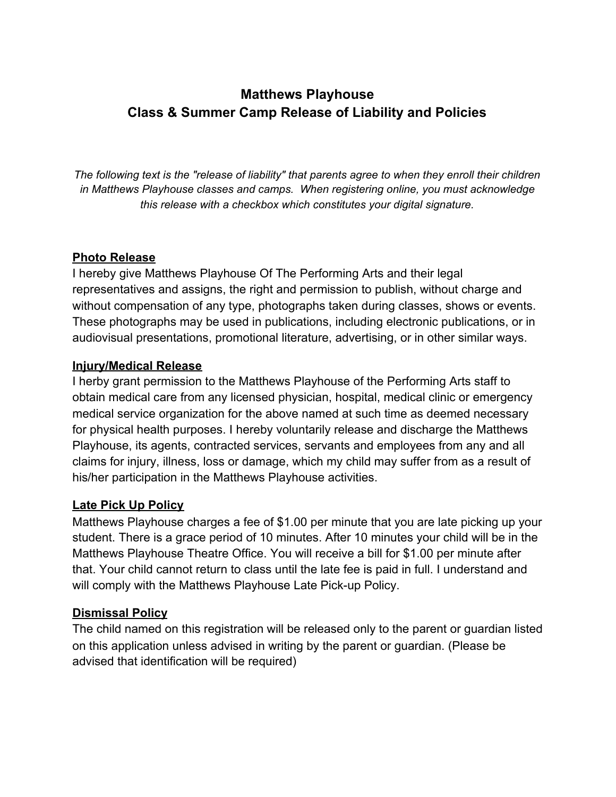# **Matthews Playhouse Class & Summer Camp Release of Liability and Policies**

*The following text is the "release of liability" that parents agree to when they enroll their children in Matthews Playhouse classes and camps. When registering online, you must acknowledge this release with a checkbox which constitutes your digital signature.*

#### **Photo Release**

I hereby give Matthews Playhouse Of The Performing Arts and their legal representatives and assigns, the right and permission to publish, without charge and without compensation of any type, photographs taken during classes, shows or events. These photographs may be used in publications, including electronic publications, or in audiovisual presentations, promotional literature, advertising, or in other similar ways.

#### **Injury/Medical Release**

I herby grant permission to the Matthews Playhouse of the Performing Arts staff to obtain medical care from any licensed physician, hospital, medical clinic or emergency medical service organization for the above named at such time as deemed necessary for physical health purposes. I hereby voluntarily release and discharge the Matthews Playhouse, its agents, contracted services, servants and employees from any and all claims for injury, illness, loss or damage, which my child may suffer from as a result of his/her participation in the Matthews Playhouse activities.

## **Late Pick Up Policy**

Matthews Playhouse charges a fee of \$1.00 per minute that you are late picking up your student. There is a grace period of 10 minutes. After 10 minutes your child will be in the Matthews Playhouse Theatre Office. You will receive a bill for \$1.00 per minute after that. Your child cannot return to class until the late fee is paid in full. I understand and will comply with the Matthews Playhouse Late Pick-up Policy.

## **Dismissal Policy**

The child named on this registration will be released only to the parent or guardian listed on this application unless advised in writing by the parent or guardian. (Please be advised that identification will be required)